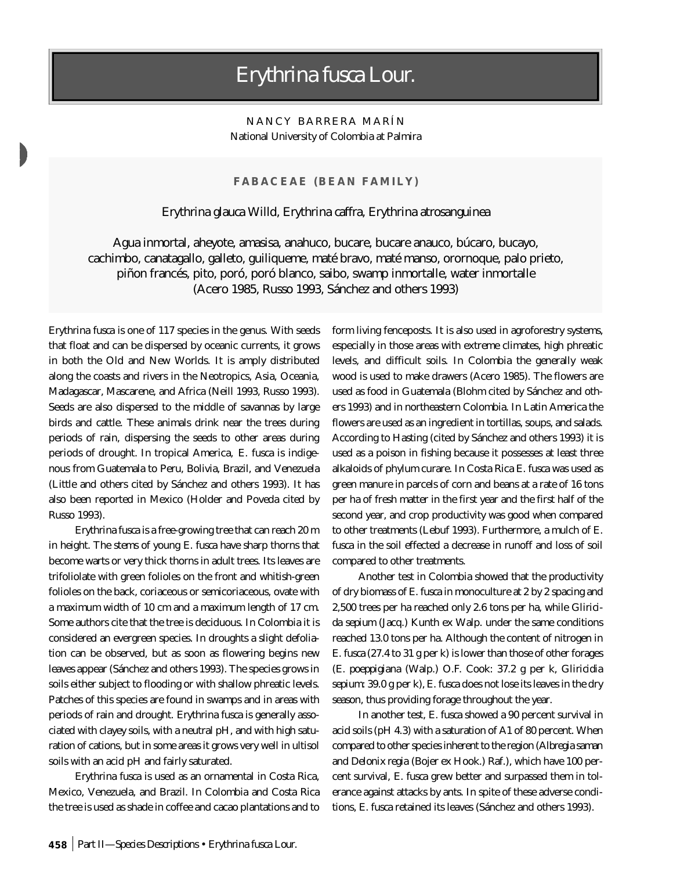## *Erythrina fusca* Lour.

NANCY BARRERA MARÍN National University of Colombia at Palmira

## **FABACEAE (BEAN FAMILY)**

## *Erythrina glauca* Willd*, Erythrina caffra, Erythrina atrosanguinea*

Agua inmortal, aheyote, amasisa, anahuco, bucare, bucare anauco, búcaro, bucayo, cachimbo, canatagallo, galleto, guiliqueme, maté bravo, maté manso, orornoque, palo prieto, piñon francés, pito, poró, poró blanco, saibo, swamp inmortalle, water inmortalle (Acero 1985, Russo 1993, Sánchez and others 1993)

*Erythrina fusca* is one of 117 species in the genus. With seeds that float and can be dispersed by oceanic currents, it grows in both the Old and New Worlds. It is amply distributed along the coasts and rivers in the Neotropics, Asia, Oceania, Madagascar, Mascarene, and Africa (Neill 1993, Russo 1993). Seeds are also dispersed to the middle of savannas by large birds and cattle. These animals drink near the trees during periods of rain, dispersing the seeds to other areas during periods of drought. In tropical America, *E. fusca* is indigenous from Guatemala to Peru, Bolivia, Brazil, and Venezuela (Little and others cited by Sánchez and others 1993). It has also been reported in Mexico (Holder and Poveda cited by Russo 1993).

E

*Erythrina fusca* is a free-growing tree that can reach 20 m in height. The stems of young *E. fusca* have sharp thorns that become warts or very thick thorns in adult trees. Its leaves are trifoliolate with green folioles on the front and whitish-green folioles on the back, coriaceous or semicoriaceous, ovate with a maximum width of 10 cm and a maximum length of 17 cm. Some authors cite that the tree is deciduous. In Colombia it is considered an evergreen species. In droughts a slight defoliation can be observed, but as soon as flowering begins new leaves appear (Sánchez and others 1993). The species grows in soils either subject to flooding or with shallow phreatic levels. Patches of this species are found in swamps and in areas with periods of rain and drought. *Erythrina fusca* is generally associated with clayey soils, with a neutral pH, and with high saturation of cations, but in some areas it grows very well in ultisol soils with an acid pH and fairly saturated.

*Erythrina fusca* is used as an ornamental in Costa Rica, Mexico, Venezuela, and Brazil. In Colombia and Costa Rica the tree is used as shade in coffee and cacao plantations and to

form living fenceposts. It is also used in agroforestry systems, especially in those areas with extreme climates, high phreatic levels, and difficult soils. In Colombia the generally weak wood is used to make drawers (Acero 1985). The flowers are used as food in Guatemala (Blohm cited by Sánchez and others 1993) and in northeastern Colombia. In Latin America the flowers are used as an ingredient in tortillas, soups, and salads. According to Hasting (cited by Sánchez and others 1993) it is used as a poison in fishing because it possesses at least three alkaloids of phylum curare. In Costa Rica *E. fusca* was used as green manure in parcels of corn and beans at a rate of 16 tons per ha of fresh matter in the first year and the first half of the second year, and crop productivity was good when compared to other treatments (Lebuf 1993). Furthermore, a mulch of *E. fusca* in the soil effected a decrease in runoff and loss of soil compared to other treatments.

Another test in Colombia showed that the productivity of dry biomass of *E. fusca* in monoculture at 2 by 2 spacing and 2,500 trees per ha reached only 2.6 tons per ha, while *Gliricida sepium* (Jacq.) Kunth ex Walp. under the same conditions reached 13.0 tons per ha. Although the content of nitrogen in *E. fusca* (27.4 to 31 g per k) is lower than those of other forages (*E. poeppigiana* (Walp.) O.F. Cook: 37.2 g per k, *Gliricidia sepium*: 39.0 g per k), *E. fusca* does not lose its leaves in the dry season, thus providing forage throughout the year.

In another test, *E. fusca* showed a 90 percent survival in acid soils (pH 4.3) with a saturation of A1 of 80 percent. When compared to other species inherent to the region (*Albregia saman* and *Delonix regia* (Bojer ex Hook.) Raf.), which have 100 percent survival, *E. fusca* grew better and surpassed them in tolerance against attacks by ants. In spite of these adverse conditions, *E. fusca* retained its leaves (Sánchez and others 1993).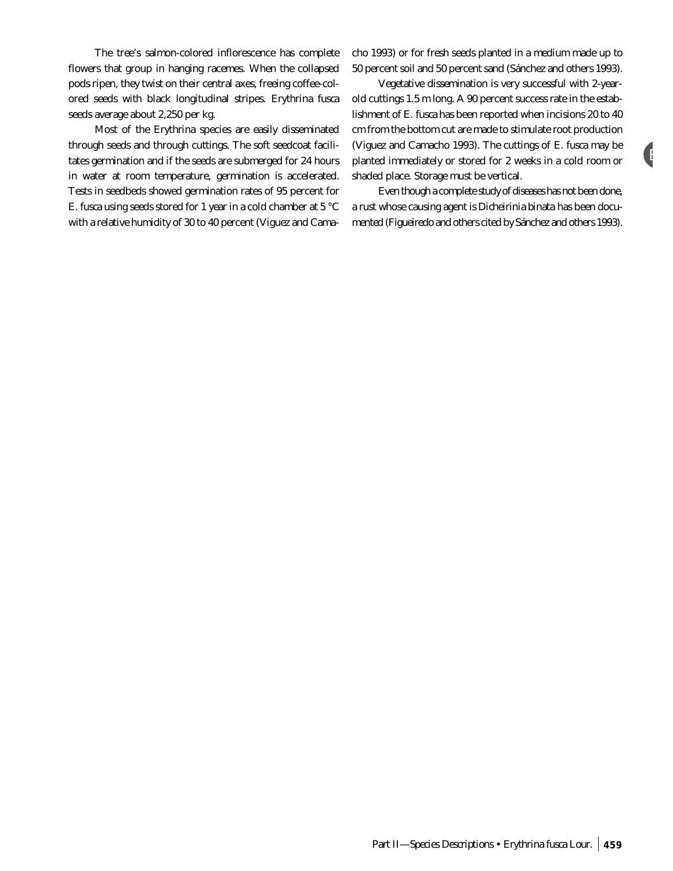The tree's salmon-colored inflorescence has complete flowers that group in hanging racemes. When the collapsed pods ripen, they twist on their central axes, freeing coffee-colored seeds with black longitudinal stripes. *Erythrina fusca* seeds average about 2,250 per kg.

Most of the *Erythrina* species are easily disseminated through seeds and through cuttings. The soft seedcoat facilitates germination and if the seeds are submerged for 24 hours in water at room temperature, germination is accelerated. Tests in seedbeds showed germination rates of 95 percent for *E. fusca* using seeds stored for 1 year in a cold chamber at 5 °C with a relative humidity of 30 to 40 percent (Viguez and Camacho 1993) or for fresh seeds planted in a medium made up to 50 percent soil and 50 percent sand (Sánchez and others 1993).

Vegetative dissemination is very successful with 2-yearold cuttings 1.5 m long. A 90 percent success rate in the establishment of *E. fusca* has been reported when incisions 20 to 40 cm from the bottom cut are made to stimulate root production (Viguez and Camacho 1993). The cuttings of *E. fusca* may be planted immediately or stored for 2 weeks in a cold room or shaded place. Storage must be vertical.

E

Even though a complete study of diseases has not been done, a rust whose causing agent is *Dicheirinia binata* has been documented (Figueiredo and others cited by Sánchez and others 1993).